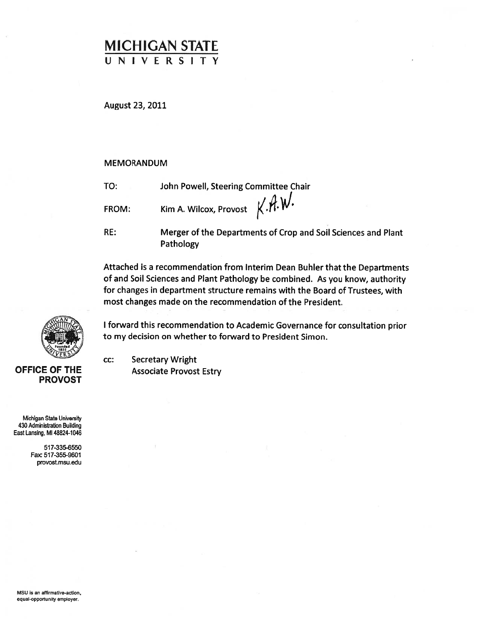## MICHIGAN STATE UNIVERSITY

August 23, 2011

#### MEMORANDUM

TO: John Powell, Steering Committee Chair

FROM: Kim A. Wilcox, Provost  $X.M.W$ .

CC:

RE: Merger of the Departments of Crop and Soil Sciences and Plant Pathology

Attached is <sup>a</sup> recommendation from Interim Dean Buhier that the Departments of and Soil Sciences and Plant Pathology be combined. As you know, authority for changes in department structure remains with the Board of Trustees, with most changes made on the recommendation of the President.

<sup>I</sup> forward this recommendation to Academic Governance for consultation prior to my decision on whether to forward to President Simon

Secretary Wright **OFFICE OF THE Associate Provost Estry** 



PROVOST

Michigan State University 430 Administration Building East Lansing, MI 48824-1046

> 517-335-6550 Fax: 517-355-9601 provost.msu.edu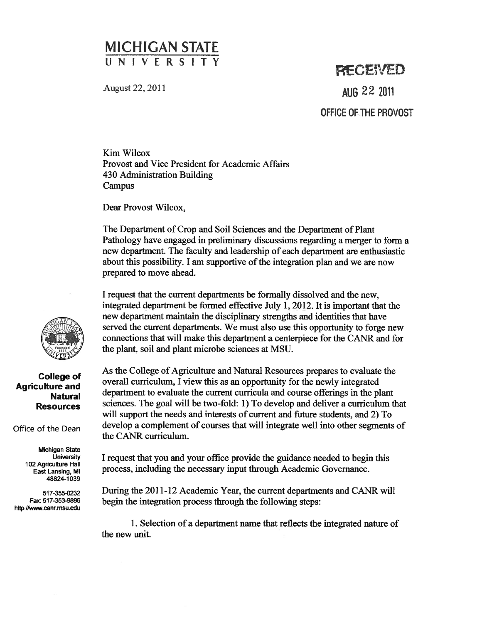## MICHIGAN STATE UNIVERSIT

August 22, 2011

# RECENED AUG 22 2011 OFFICE OF THE PROVOST

Kim Wilcox Provost and Vice President for Academic Affairs 430 Administration Building Campus

Dear Provost Wilcox,

The Department of Crop and Soil Sciences and the Department of Plant Pathology have engaged in preliminary discussions regarding <sup>a</sup> merger to form <sup>a</sup> new department. The faculty and leadership of each department are enthusiastic about this possibility. I am supportive of the integration plan and we are now prepared to move ahead.

I reques<sup>t</sup> that the current departments be formally dissolved and the new, integrated department be formed effective July 1, 2012. It is important that the new department maintain the disciplinary strengths and identities that have served the current departments. We must also use this opportunity to forge new connections that will make this department <sup>a</sup> centerpiece for the CANR and for the plant, soil and plant microbe sciences at MSU.

As the College of Agriculture and Natural Resources prepares to evaluate the overall curriculum, <sup>I</sup> view this as an opportunity for the newly integrated department to evaluate the current curricula and course offerings in the plant sciences. The goal will be two-fold: 1) To develop and deliver <sup>a</sup> curriculum that will suppor<sup>t</sup> the needs and interests of current and future students, and 2) To develop <sup>a</sup> complement of courses that will integrate well into other segments of the CANR curriculum.

I reques<sup>t</sup> that you and your office provide the guidance needed to begin this process, including the necessary input through Academic Governance.

During the 2011-12 Academic Year, the current departments and CANR will begin the integration process through the following steps:

1. Selection of <sup>a</sup> department name that reflects the integrated nature of the new unit.



### College of Agriculture and Natural Resources

Office of the Dean

Michigan State **University** 102 Agriculture Hall East Lansing, MI 48824-1039

517-355-0232 Fax: 517-353-9896 http://www.canr.msu.edu